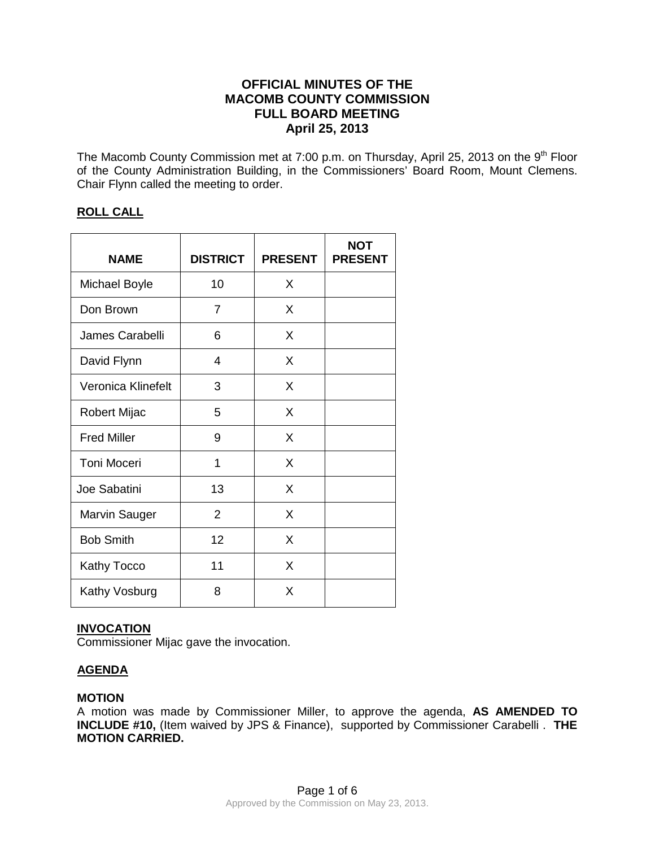# **OFFICIAL MINUTES OF THE MACOMB COUNTY COMMISSION FULL BOARD MEETING April 25, 2013**

The Macomb County Commission met at 7:00 p.m. on Thursday, April 25, 2013 on the 9<sup>th</sup> Floor of the County Administration Building, in the Commissioners' Board Room, Mount Clemens. Chair Flynn called the meeting to order.

## **ROLL CALL**

| <b>NAME</b>        | <b>DISTRICT</b> | <b>PRESENT</b> | <b>NOT</b><br><b>PRESENT</b> |
|--------------------|-----------------|----------------|------------------------------|
| Michael Boyle      | 10              | X              |                              |
| Don Brown          | $\overline{7}$  | X              |                              |
| James Carabelli    | 6               | X              |                              |
| David Flynn        | 4               | X              |                              |
| Veronica Klinefelt | 3               | X              |                              |
| Robert Mijac       | 5               | X              |                              |
| <b>Fred Miller</b> | 9               | X              |                              |
| Toni Moceri        | 1               | X              |                              |
| Joe Sabatini       | 13              | X              |                              |
| Marvin Sauger      | $\overline{2}$  | X              |                              |
| <b>Bob Smith</b>   | 12              | X              |                              |
| <b>Kathy Tocco</b> | 11              | X              |                              |
| Kathy Vosburg      | 8               | X              |                              |

## **INVOCATION**

Commissioner Mijac gave the invocation.

## **AGENDA**

## **MOTION**

A motion was made by Commissioner Miller, to approve the agenda, **AS AMENDED TO INCLUDE #10,** (Item waived by JPS & Finance), supported by Commissioner Carabelli . **THE MOTION CARRIED.**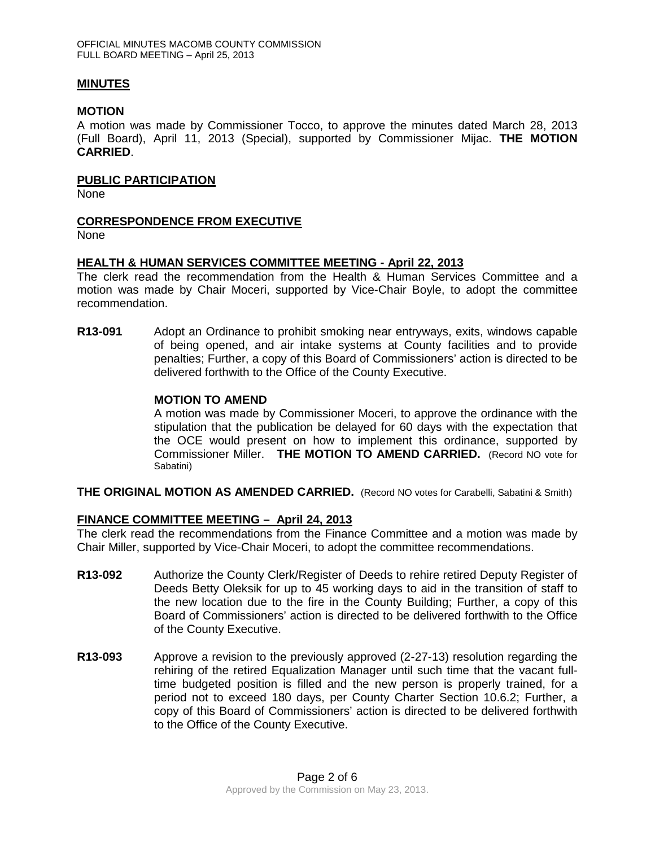### **MINUTES**

### **MOTION**

A motion was made by Commissioner Tocco, to approve the minutes dated March 28, 2013 (Full Board), April 11, 2013 (Special), supported by Commissioner Mijac. **THE MOTION CARRIED**.

### **PUBLIC PARTICIPATION**

None

### **CORRESPONDENCE FROM EXECUTIVE**

None

### **HEALTH & HUMAN SERVICES COMMITTEE MEETING - April 22, 2013**

The clerk read the recommendation from the Health & Human Services Committee and a motion was made by Chair Moceri, supported by Vice-Chair Boyle, to adopt the committee recommendation.

**R13-091** Adopt an Ordinance to prohibit smoking near entryways, exits, windows capable of being opened, and air intake systems at County facilities and to provide penalties; Further, a copy of this Board of Commissioners' action is directed to be delivered forthwith to the Office of the County Executive.

### **MOTION TO AMEND**

A motion was made by Commissioner Moceri, to approve the ordinance with the stipulation that the publication be delayed for 60 days with the expectation that the OCE would present on how to implement this ordinance, supported by Commissioner Miller. **THE MOTION TO AMEND CARRIED.** (Record NO vote for Sabatini)

**THE ORIGINAL MOTION AS AMENDED CARRIED.** (Record NO votes for Carabelli, Sabatini & Smith)

## **FINANCE COMMITTEE MEETING – April 24, 2013**

The clerk read the recommendations from the Finance Committee and a motion was made by Chair Miller, supported by Vice-Chair Moceri, to adopt the committee recommendations.

- **R13-092** Authorize the County Clerk/Register of Deeds to rehire retired Deputy Register of Deeds Betty Oleksik for up to 45 working days to aid in the transition of staff to the new location due to the fire in the County Building; Further, a copy of this Board of Commissioners' action is directed to be delivered forthwith to the Office of the County Executive.
- **R13-093** Approve a revision to the previously approved (2-27-13) resolution regarding the rehiring of the retired Equalization Manager until such time that the vacant fulltime budgeted position is filled and the new person is properly trained, for a period not to exceed 180 days, per County Charter Section 10.6.2; Further, a copy of this Board of Commissioners' action is directed to be delivered forthwith to the Office of the County Executive.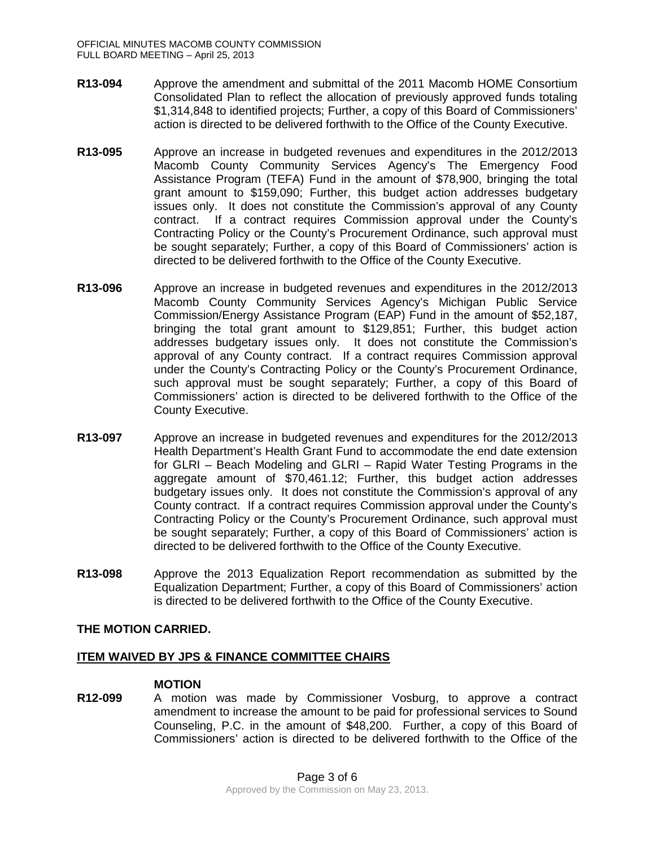- **R13-094** Approve the amendment and submittal of the 2011 Macomb HOME Consortium Consolidated Plan to reflect the allocation of previously approved funds totaling \$1,314,848 to identified projects; Further, a copy of this Board of Commissioners' action is directed to be delivered forthwith to the Office of the County Executive.
- **R13-095** Approve an increase in budgeted revenues and expenditures in the 2012/2013 Macomb County Community Services Agency's The Emergency Food Assistance Program (TEFA) Fund in the amount of \$78,900, bringing the total grant amount to \$159,090; Further, this budget action addresses budgetary issues only. It does not constitute the Commission's approval of any County contract. If a contract requires Commission approval under the County's Contracting Policy or the County's Procurement Ordinance, such approval must be sought separately; Further, a copy of this Board of Commissioners' action is directed to be delivered forthwith to the Office of the County Executive.
- **R13-096** Approve an increase in budgeted revenues and expenditures in the 2012/2013 Macomb County Community Services Agency's Michigan Public Service Commission/Energy Assistance Program (EAP) Fund in the amount of \$52,187, bringing the total grant amount to \$129,851; Further, this budget action addresses budgetary issues only. It does not constitute the Commission's approval of any County contract. If a contract requires Commission approval under the County's Contracting Policy or the County's Procurement Ordinance, such approval must be sought separately; Further, a copy of this Board of Commissioners' action is directed to be delivered forthwith to the Office of the County Executive.
- **R13-097** Approve an increase in budgeted revenues and expenditures for the 2012/2013 Health Department's Health Grant Fund to accommodate the end date extension for GLRI – Beach Modeling and GLRI – Rapid Water Testing Programs in the aggregate amount of \$70,461.12; Further, this budget action addresses budgetary issues only. It does not constitute the Commission's approval of any County contract. If a contract requires Commission approval under the County's Contracting Policy or the County's Procurement Ordinance, such approval must be sought separately; Further, a copy of this Board of Commissioners' action is directed to be delivered forthwith to the Office of the County Executive.
- **R13-098** Approve the 2013 Equalization Report recommendation as submitted by the Equalization Department; Further, a copy of this Board of Commissioners' action is directed to be delivered forthwith to the Office of the County Executive.

## **THE MOTION CARRIED.**

#### **ITEM WAIVED BY JPS & FINANCE COMMITTEE CHAIRS**

#### **MOTION**

**R12-099** A motion was made by Commissioner Vosburg, to approve a contract amendment to increase the amount to be paid for professional services to Sound Counseling, P.C. in the amount of \$48,200. Further, a copy of this Board of Commissioners' action is directed to be delivered forthwith to the Office of the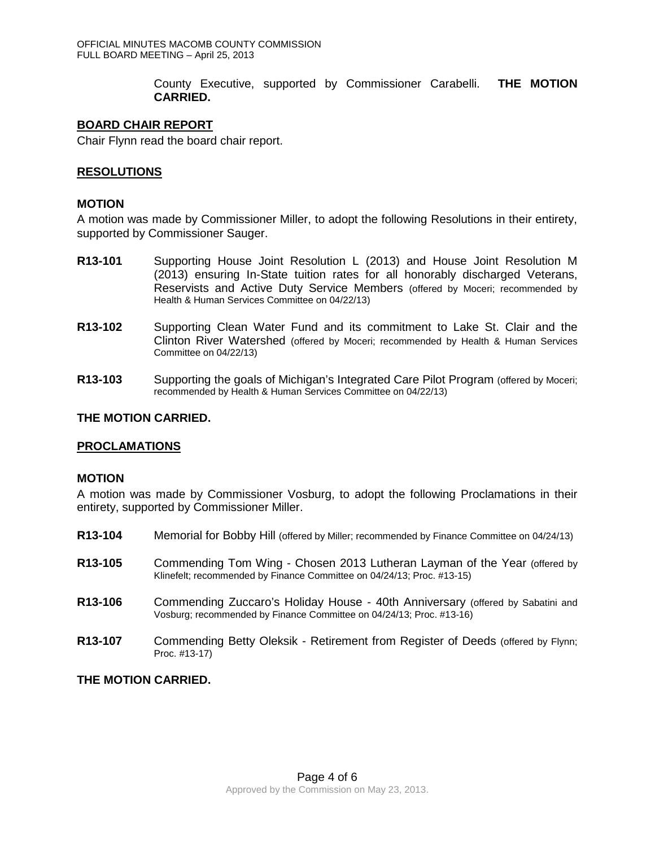County Executive, supported by Commissioner Carabelli. **THE MOTION CARRIED.**

### **BOARD CHAIR REPORT**

Chair Flynn read the board chair report.

## **RESOLUTIONS**

#### **MOTION**

A motion was made by Commissioner Miller, to adopt the following Resolutions in their entirety, supported by Commissioner Sauger.

- **R13-101** Supporting House Joint Resolution L (2013) and House Joint Resolution M (2013) ensuring In-State tuition rates for all honorably discharged Veterans, Reservists and Active Duty Service Members (offered by Moceri; recommended by Health & Human Services Committee on 04/22/13)
- **R13-102** Supporting Clean Water Fund and its commitment to Lake St. Clair and the Clinton River Watershed (offered by Moceri; recommended by Health & Human Services Committee on 04/22/13)
- **R13-103** Supporting the goals of Michigan's Integrated Care Pilot Program (offered by Moceri; recommended by Health & Human Services Committee on 04/22/13)

### **THE MOTION CARRIED.**

## **PROCLAMATIONS**

#### **MOTION**

A motion was made by Commissioner Vosburg, to adopt the following Proclamations in their entirety, supported by Commissioner Miller.

- **R13-104** Memorial for Bobby Hill (offered by Miller; recommended by Finance Committee on 04/24/13)
- **R13-105** Commending Tom Wing Chosen 2013 Lutheran Layman of the Year (offered by Klinefelt; recommended by Finance Committee on 04/24/13; Proc. #13-15)
- **R13-106** Commending Zuccaro's Holiday House 40th Anniversary (offered by Sabatini and Vosburg; recommended by Finance Committee on 04/24/13; Proc. #13-16)
- **R13-107** Commending Betty Oleksik Retirement from Register of Deeds (offered by Flynn; Proc. #13-17)

**THE MOTION CARRIED.**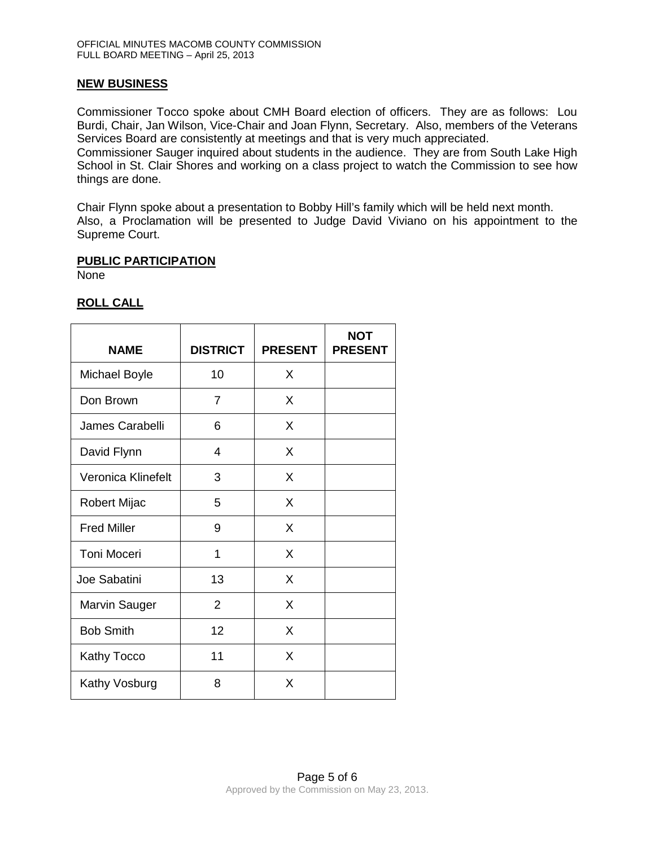### **NEW BUSINESS**

Commissioner Tocco spoke about CMH Board election of officers. They are as follows: Lou Burdi, Chair, Jan Wilson, Vice-Chair and Joan Flynn, Secretary. Also, members of the Veterans Services Board are consistently at meetings and that is very much appreciated.

Commissioner Sauger inquired about students in the audience. They are from South Lake High School in St. Clair Shores and working on a class project to watch the Commission to see how things are done.

Chair Flynn spoke about a presentation to Bobby Hill's family which will be held next month. Also, a Proclamation will be presented to Judge David Viviano on his appointment to the Supreme Court.

#### **PUBLIC PARTICIPATION**

None

## **ROLL CALL**

| <b>NAME</b>          | <b>DISTRICT</b> | <b>PRESENT</b> | <b>NOT</b><br><b>PRESENT</b> |
|----------------------|-----------------|----------------|------------------------------|
| Michael Boyle        | 10              | X              |                              |
| Don Brown            | $\overline{7}$  | X              |                              |
| James Carabelli      | 6               | X              |                              |
| David Flynn          | 4               | X              |                              |
| Veronica Klinefelt   | 3               | X              |                              |
| Robert Mijac         | 5               | X              |                              |
| <b>Fred Miller</b>   | 9               | X              |                              |
| <b>Toni Moceri</b>   | 1               | X              |                              |
| Joe Sabatini         | 13              | X              |                              |
| <b>Marvin Sauger</b> | $\overline{2}$  | X              |                              |
| <b>Bob Smith</b>     | 12              | X              |                              |
| Kathy Tocco          | 11              | X              |                              |
| Kathy Vosburg        | 8               | X              |                              |